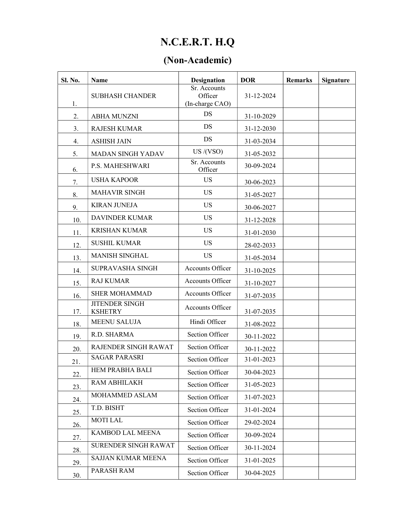# N.C.E.R.T. H.Q

| Sl. No. | <b>Name</b>                             | <b>Designation</b>                         | <b>DOR</b> | <b>Remarks</b> | <b>Signature</b> |
|---------|-----------------------------------------|--------------------------------------------|------------|----------------|------------------|
| 1.      | <b>SUBHASH CHANDER</b>                  | Sr. Accounts<br>Officer<br>(In-charge CAO) | 31-12-2024 |                |                  |
| 2.      | <b>ABHA MUNZNI</b>                      | <b>DS</b>                                  | 31-10-2029 |                |                  |
| 3.      | <b>RAJESH KUMAR</b>                     | <b>DS</b>                                  | 31-12-2030 |                |                  |
| 4.      | <b>ASHISH JAIN</b>                      | DS                                         | 31-03-2034 |                |                  |
| 5.      | <b>MADAN SINGH YADAV</b>                | US $/(VSO)$                                | 31-05-2032 |                |                  |
| 6.      | P.S. MAHESHWARI                         | Sr. Accounts<br>Officer                    | 30-09-2024 |                |                  |
| 7.      | <b>USHA KAPOOR</b>                      | <b>US</b>                                  | 30-06-2023 |                |                  |
| 8.      | <b>MAHAVIR SINGH</b>                    | <b>US</b>                                  | 31-05-2027 |                |                  |
| 9.      | <b>KIRAN JUNEJA</b>                     | <b>US</b>                                  | 30-06-2027 |                |                  |
| 10.     | <b>DAVINDER KUMAR</b>                   | <b>US</b>                                  | 31-12-2028 |                |                  |
| 11.     | <b>KRISHAN KUMAR</b>                    | <b>US</b>                                  | 31-01-2030 |                |                  |
| 12.     | <b>SUSHIL KUMAR</b>                     | <b>US</b>                                  | 28-02-2033 |                |                  |
| 13.     | <b>MANISH SINGHAL</b>                   | <b>US</b>                                  | 31-05-2034 |                |                  |
| 14.     | SUPRAVASHA SINGH                        | Accounts Officer                           | 31-10-2025 |                |                  |
| 15.     | <b>RAJ KUMAR</b>                        | Accounts Officer                           | 31-10-2027 |                |                  |
| 16.     | <b>SHER MOHAMMAD</b>                    | Accounts Officer                           | 31-07-2035 |                |                  |
| 17.     | <b>JITENDER SINGH</b><br><b>KSHETRY</b> | Accounts Officer                           | 31-07-2035 |                |                  |
| 18.     | <b>MEENU SALUJA</b>                     | Hindi Officer                              | 31-08-2022 |                |                  |
| 19.     | R.D. SHARMA                             | Section Officer                            | 30-11-2022 |                |                  |
| 20.     | RAJENDER SINGH RAWAT                    | <b>Section Officer</b>                     | 30-11-2022 |                |                  |
| 21.     | <b>SAGAR PARASRI</b>                    | Section Officer                            | 31-01-2023 |                |                  |
| 22.     | HEM PRABHA BALI                         | Section Officer                            | 30-04-2023 |                |                  |
| 23.     | RAM ABHILAKH                            | <b>Section Officer</b>                     | 31-05-2023 |                |                  |
| 24.     | MOHAMMED ASLAM                          | Section Officer                            | 31-07-2023 |                |                  |
| 25.     | T.D. BISHT                              | <b>Section Officer</b>                     | 31-01-2024 |                |                  |
| 26.     | <b>MOTILAL</b>                          | <b>Section Officer</b>                     | 29-02-2024 |                |                  |
| 27.     | <b>KAMBOD LAL MEENA</b>                 | Section Officer                            | 30-09-2024 |                |                  |
| 28.     | SURENDER SINGH RAWAT                    | <b>Section Officer</b>                     | 30-11-2024 |                |                  |
| 29.     | <b>SAJJAN KUMAR MEENA</b>               | <b>Section Officer</b>                     | 31-01-2025 |                |                  |
| 30.     | PARASH RAM                              | Section Officer                            | 30-04-2025 |                |                  |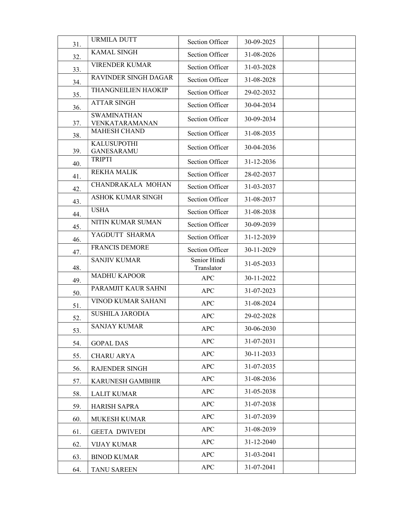| 31. | <b>URMILA DUTT</b>                      | Section Officer            | 30-09-2025 |  |
|-----|-----------------------------------------|----------------------------|------------|--|
| 32. | <b>KAMAL SINGH</b>                      | <b>Section Officer</b>     | 31-08-2026 |  |
| 33. | <b>VIRENDER KUMAR</b>                   | <b>Section Officer</b>     | 31-03-2028 |  |
| 34. | <b>RAVINDER SINGH DAGAR</b>             | <b>Section Officer</b>     | 31-08-2028 |  |
| 35. | THANGNEILIEN HAOKIP                     | Section Officer            | 29-02-2032 |  |
| 36. | <b>ATTAR SINGH</b>                      | <b>Section Officer</b>     | 30-04-2034 |  |
| 37. | <b>SWAMINATHAN</b><br>VENKATARAMANAN    | Section Officer            | 30-09-2034 |  |
| 38. | <b>MAHESH CHAND</b>                     | <b>Section Officer</b>     | 31-08-2035 |  |
| 39. | <b>KALUSUPOTHI</b><br><b>GANESARAMU</b> | Section Officer            | 30-04-2036 |  |
| 40. | <b>TRIPTI</b>                           | <b>Section Officer</b>     | 31-12-2036 |  |
| 41. | <b>REKHA MALIK</b>                      | <b>Section Officer</b>     | 28-02-2037 |  |
| 42. | CHANDRAKALA MOHAN                       | <b>Section Officer</b>     | 31-03-2037 |  |
| 43. | <b>ASHOK KUMAR SINGH</b>                | <b>Section Officer</b>     | 31-08-2037 |  |
| 44. | <b>USHA</b>                             | <b>Section Officer</b>     | 31-08-2038 |  |
| 45. | NITIN KUMAR SUMAN                       | Section Officer            | 30-09-2039 |  |
| 46. | YAGDUTT SHARMA                          | <b>Section Officer</b>     | 31-12-2039 |  |
| 47. | <b>FRANCIS DEMORE</b>                   | Section Officer            | 30-11-2029 |  |
| 48. | <b>SANJIV KUMAR</b>                     | Senior Hindi<br>Translator | 31-05-2033 |  |
| 49. | <b>MADHU KAPOOR</b>                     | <b>APC</b>                 | 30-11-2022 |  |
| 50. | PARAMJIT KAUR SAHNI                     | <b>APC</b>                 | 31-07-2023 |  |
| 51. | <b>VINOD KUMAR SAHANI</b>               | <b>APC</b>                 | 31-08-2024 |  |
| 52. | <b>SUSHILA JARODIA</b>                  | <b>APC</b>                 | 29-02-2028 |  |
| 53. | <b>SANJAY KUMAR</b>                     | <b>APC</b>                 | 30-06-2030 |  |
| 54. | <b>GOPAL DAS</b>                        | APC                        | 31-07-2031 |  |
| 55. | <b>CHARU ARYA</b>                       | <b>APC</b>                 | 30-11-2033 |  |
| 56. | <b>RAJENDER SINGH</b>                   | <b>APC</b>                 | 31-07-2035 |  |
| 57. | <b>KARUNESH GAMBHIR</b>                 | <b>APC</b>                 | 31-08-2036 |  |
| 58. | <b>LALIT KUMAR</b>                      | <b>APC</b>                 | 31-05-2038 |  |
| 59. | <b>HARISH SAPRA</b>                     | <b>APC</b>                 | 31-07-2038 |  |
| 60. | <b>MUKESH KUMAR</b>                     | <b>APC</b>                 | 31-07-2039 |  |
| 61. | <b>GEETA DWIVEDI</b>                    | <b>APC</b>                 | 31-08-2039 |  |
| 62. | <b>VIJAY KUMAR</b>                      | <b>APC</b>                 | 31-12-2040 |  |
| 63. | <b>BINOD KUMAR</b>                      | <b>APC</b>                 | 31-03-2041 |  |
| 64. | <b>TANU SAREEN</b>                      | <b>APC</b>                 | 31-07-2041 |  |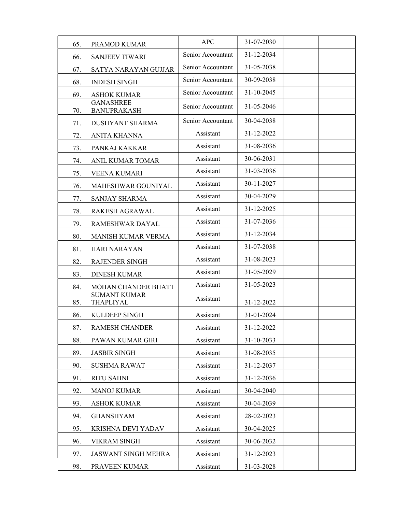| 65. | PRAMOD KUMAR                           | <b>APC</b>        | 31-07-2030 |  |
|-----|----------------------------------------|-------------------|------------|--|
| 66. | <b>SANJEEV TIWARI</b>                  | Senior Accountant | 31-12-2034 |  |
| 67. | SATYA NARAYAN GUJJAR                   | Senior Accountant | 31-05-2038 |  |
| 68. | <b>INDESH SINGH</b>                    | Senior Accountant | 30-09-2038 |  |
| 69. | <b>ASHOK KUMAR</b>                     | Senior Accountant | 31-10-2045 |  |
| 70. | <b>GANASHREE</b><br><b>BANUPRAKASH</b> | Senior Accountant | 31-05-2046 |  |
| 71. | <b>DUSHYANT SHARMA</b>                 | Senior Accountant | 30-04-2038 |  |
| 72. | <b>ANITA KHANNA</b>                    | Assistant         | 31-12-2022 |  |
| 73. | PANKAJ KAKKAR                          | Assistant         | 31-08-2036 |  |
| 74. | <b>ANIL KUMAR TOMAR</b>                | Assistant         | 30-06-2031 |  |
| 75. | <b>VEENA KUMARI</b>                    | Assistant         | 31-03-2036 |  |
| 76. | MAHESHWAR GOUNIYAL                     | Assistant         | 30-11-2027 |  |
| 77. | <b>SANJAY SHARMA</b>                   | Assistant         | 30-04-2029 |  |
| 78. | RAKESH AGRAWAL                         | Assistant         | 31-12-2025 |  |
| 79. | RAMESHWAR DAYAL                        | Assistant         | 31-07-2036 |  |
| 80. | <b>MANISH KUMAR VERMA</b>              | Assistant         | 31-12-2034 |  |
| 81. | <b>HARI NARAYAN</b>                    | Assistant         | 31-07-2038 |  |
| 82. | <b>RAJENDER SINGH</b>                  | Assistant         | 31-08-2023 |  |
| 83. | <b>DINESH KUMAR</b>                    | Assistant         | 31-05-2029 |  |
| 84. | MOHAN CHANDER BHATT                    | Assistant         | 31-05-2023 |  |
| 85. | <b>SUMANT KUMAR</b><br>THAPLIYAL       | Assistant         | 31-12-2022 |  |
| 86. | <b>KULDEEP SINGH</b>                   | Assistant         | 31-01-2024 |  |
| 87. | RAMESH CHANDER                         | Assistant         | 31-12-2022 |  |
| 88. | PAWAN KUMAR GIRI                       | Assistant         | 31-10-2033 |  |
| 89. | <b>JASBIR SINGH</b>                    | Assistant         | 31-08-2035 |  |
| 90. | <b>SUSHMA RAWAT</b>                    | Assistant         | 31-12-2037 |  |
| 91. | <b>RITU SAHNI</b>                      | Assistant         | 31-12-2036 |  |
| 92. | <b>MANOJ KUMAR</b>                     | Assistant         | 30-04-2040 |  |
| 93. | <b>ASHOK KUMAR</b>                     | Assistant         | 30-04-2039 |  |
| 94. | <b>GHANSHYAM</b>                       | Assistant         | 28-02-2023 |  |
| 95. | KRISHNA DEVI YADAV                     | Assistant         | 30-04-2025 |  |
| 96. | <b>VIKRAM SINGH</b>                    | Assistant         | 30-06-2032 |  |
| 97. | <b>JASWANT SINGH MEHRA</b>             | Assistant         | 31-12-2023 |  |
| 98. | PRAVEEN KUMAR                          | Assistant         | 31-03-2028 |  |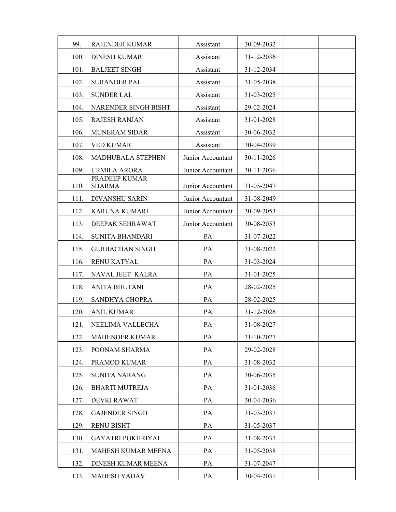| 99.  | <b>RAJENDER KUMAR</b>          | Assistant         | 30-09-2032 |  |
|------|--------------------------------|-------------------|------------|--|
| 100. | <b>DINESH KUMAR</b>            | Assistant         | 31-12-2036 |  |
| 101. | <b>BALJEET SINGH</b>           | Assistant         | 31-12-2034 |  |
| 102. | <b>SURANDER PAL</b>            | Assistant         | 31-05-2038 |  |
| 103. | <b>SUNDER LAL</b>              | Assistant         | 31-03-2025 |  |
| 104. | NARENDER SINGH BISHT           | Assistant         | 29-02-2024 |  |
| 105. | <b>RAJESH RANJAN</b>           | Assistant         | 31-01-2028 |  |
| 106. | <b>MUNERAM SIDAR</b>           | Assistant         | 30-06-2032 |  |
| 107. | <b>VED KUMAR</b>               | Assistant         | 30-04-2039 |  |
| 108. | <b>MADHUBALA STEPHEN</b>       | Junior Accountant | 30-11-2026 |  |
| 109. | <b>URMILA ARORA</b>            | Junior Accountant | 30-11-2036 |  |
| 110. | PRADEEP KUMAR<br><b>SHARMA</b> | Junior Accountant | 31-05-2047 |  |
| 111. | <b>DIVANSHU SARIN</b>          | Junior Accountant | 31-08-2049 |  |
| 112. | KARUNA KUMARI                  | Junior Accountant | 30-09-2053 |  |
| 113. | DEEPAK SEHRAWAT                | Junior Accountant | 30-08-2053 |  |
| 114. | SUNITA BHANDARI                | PA                | 31-07-2022 |  |
| 115. | <b>GURBACHAN SINGH</b>         | PA                | 31-08-2022 |  |
| 116. | <b>RENU KATYAL</b>             | PA                | 31-03-2024 |  |
| 117. | NAVAL JEET KALRA               | PA                | 31-01-2025 |  |
| 118. | <b>ANITA BHUTANI</b>           | PA                | 28-02-2025 |  |
| 119. | <b>SANDHYA CHOPRA</b>          | PA                | 28-02-2025 |  |
| 120. | <b>ANIL KUMAR</b>              | PA                | 31-12-2026 |  |
| 121. | NEELIMA VALLECHA               | PA                | 31-08-2027 |  |
| 122. | <b>MAHENDER KUMAR</b>          | PA                | 31-10-2027 |  |
| 123. | POONAM SHARMA                  | PA                | 29-02-2028 |  |
| 124. | PRAMOD KUMAR                   | PA                | 31-08-2032 |  |
| 125. | <b>SUNITA NARANG</b>           | PA                | 30-06-2035 |  |
| 126. | <b>BHARTI MUTREJA</b>          | PA                | 31-01-2036 |  |
| 127. | <b>DEVKI RAWAT</b>             | PA                | 30-04-2036 |  |
| 128. | <b>GAJENDER SINGH</b>          | PA                | 31-03-2037 |  |
| 129. | <b>RENU BISHT</b>              | PA                | 31-05-2037 |  |
| 130. | GAYATRI POKHRIYAL              | PA                | 31-08-2037 |  |
| 131. | <b>MAHESH KUMAR MEENA</b>      | PA                | 31-05-2038 |  |
| 132. | DINESH KUMAR MEENA             | PA                | 31-07-2047 |  |
| 133. | <b>MAHESH YADAV</b>            | PA                | 30-04-2031 |  |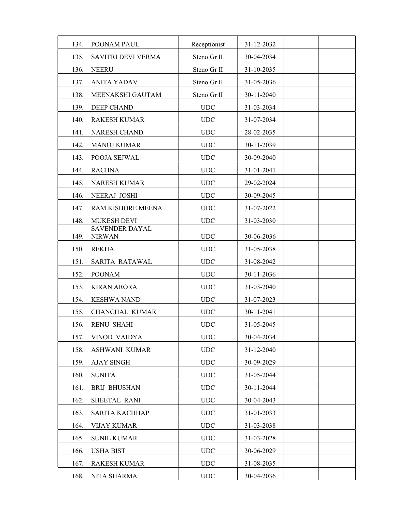| 134. | POONAM PAUL                            | Receptionist              | 31-12-2032 |  |
|------|----------------------------------------|---------------------------|------------|--|
| 135. | <b>SAVITRI DEVI VERMA</b>              | Steno Gr II               | 30-04-2034 |  |
| 136. | <b>NEERU</b>                           | Steno Gr II               | 31-10-2035 |  |
| 137. | <b>ANITA YADAV</b>                     | Steno Gr II               | 31-05-2036 |  |
| 138. | MEENAKSHI GAUTAM                       | Steno Gr II               | 30-11-2040 |  |
| 139. | <b>DEEP CHAND</b>                      | <b>UDC</b>                | 31-03-2034 |  |
| 140. | <b>RAKESH KUMAR</b>                    | <b>UDC</b>                | 31-07-2034 |  |
| 141. | <b>NARESH CHAND</b>                    | <b>UDC</b>                | 28-02-2035 |  |
| 142. | <b>MANOJ KUMAR</b>                     | <b>UDC</b>                | 30-11-2039 |  |
| 143. | POOJA SEJWAL                           | <b>UDC</b>                | 30-09-2040 |  |
| 144. | <b>RACHNA</b>                          | <b>UDC</b>                | 31-01-2041 |  |
| 145. | <b>NARESH KUMAR</b>                    | <b>UDC</b>                | 29-02-2024 |  |
| 146. | <b>NEERAJ JOSHI</b>                    | <b>UDC</b>                | 30-09-2045 |  |
| 147. | RAM KISHORE MEENA                      | <b>UDC</b>                | 31-07-2022 |  |
| 148. | <b>MUKESH DEVI</b>                     | <b>UDC</b>                | 31-03-2030 |  |
| 149. | <b>SAVENDER DAYAL</b><br><b>NIRWAN</b> | UDC                       | 30-06-2036 |  |
| 150. | <b>REKHA</b>                           | <b>UDC</b>                | 31-05-2038 |  |
| 151. | <b>SARITA RATAWAL</b>                  | <b>UDC</b>                | 31-08-2042 |  |
| 152. | <b>POONAM</b>                          | <b>UDC</b>                | 30-11-2036 |  |
| 153. | <b>KIRAN ARORA</b>                     | <b>UDC</b>                | 31-03-2040 |  |
| 154. | <b>KESHWA NAND</b>                     | <b>UDC</b>                | 31-07-2023 |  |
| 155. | <b>CHANCHAL KUMAR</b>                  | <b>UDC</b>                | 30-11-2041 |  |
| 156. | <b>RENU SHAHI</b>                      | <b>UDC</b>                | 31-05-2045 |  |
| 157. | <b>VINOD VAIDYA</b>                    | UDC                       | 30-04-2034 |  |
| 158. | <b>ASHWANI KUMAR</b>                   | $\ensuremath{\text{UDC}}$ | 31-12-2040 |  |
| 159. | <b>AJAY SINGH</b>                      | <b>UDC</b>                | 30-09-2029 |  |
| 160. | <b>SUNITA</b>                          | UDC                       | 31-05-2044 |  |
| 161. | <b>BRIJ BHUSHAN</b>                    | $\ensuremath{\text{UDC}}$ | 30-11-2044 |  |
| 162. | SHEETAL RANI                           | UDC                       | 30-04-2043 |  |
| 163. | <b>SARITA KACHHAP</b>                  | $\ensuremath{\text{UDC}}$ | 31-01-2033 |  |
| 164. | <b>VIJAY KUMAR</b>                     | UDC                       | 31-03-2038 |  |
| 165. | <b>SUNIL KUMAR</b>                     | UDC                       | 31-03-2028 |  |
| 166. | <b>USHA BIST</b>                       | UDC                       | 30-06-2029 |  |
| 167. | <b>RAKESH KUMAR</b>                    | UDC                       | 31-08-2035 |  |
| 168. | NITA SHARMA                            | UDC                       | 30-04-2036 |  |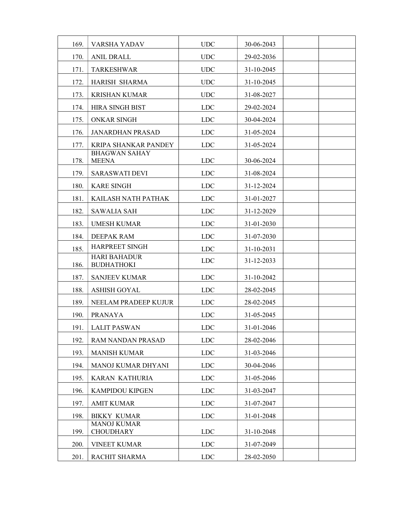| 169. | VARSHA YADAV                             | <b>UDC</b> | 30-06-2043 |  |
|------|------------------------------------------|------------|------------|--|
| 170. | <b>ANIL DRALL</b>                        | <b>UDC</b> | 29-02-2036 |  |
| 171. | <b>TARKESHWAR</b>                        | <b>UDC</b> | 31-10-2045 |  |
| 172. | <b>HARISH SHARMA</b>                     | UDC        | 31-10-2045 |  |
| 173. | <b>KRISHAN KUMAR</b>                     | <b>UDC</b> | 31-08-2027 |  |
| 174. | <b>HIRA SINGH BIST</b>                   | <b>LDC</b> | 29-02-2024 |  |
| 175. | <b>ONKAR SINGH</b>                       | <b>LDC</b> | 30-04-2024 |  |
| 176. | <b>JANARDHAN PRASAD</b>                  | <b>LDC</b> | 31-05-2024 |  |
| 177. | <b>KRIPA SHANKAR PANDEY</b>              | <b>LDC</b> | 31-05-2024 |  |
| 178. | <b>BHAGWAN SAHAY</b><br><b>MEENA</b>     | <b>LDC</b> | 30-06-2024 |  |
| 179. | <b>SARASWATI DEVI</b>                    | <b>LDC</b> | 31-08-2024 |  |
| 180. | <b>KARE SINGH</b>                        | <b>LDC</b> | 31-12-2024 |  |
| 181. | KAILASH NATH PATHAK                      | <b>LDC</b> | 31-01-2027 |  |
| 182. | <b>SAWALIA SAH</b>                       | <b>LDC</b> | 31-12-2029 |  |
| 183. | <b>UMESH KUMAR</b>                       | <b>LDC</b> | 31-01-2030 |  |
| 184. | <b>DEEPAK RAM</b>                        | <b>LDC</b> | 31-07-2030 |  |
| 185. | HARPREET SINGH                           | <b>LDC</b> | 31-10-2031 |  |
| 186. | <b>HARI BAHADUR</b><br><b>BUDHATHOKI</b> | <b>LDC</b> | 31-12-2033 |  |
| 187. | <b>SANJEEV KUMAR</b>                     | <b>LDC</b> | 31-10-2042 |  |
| 188. | <b>ASHISH GOYAL</b>                      | <b>LDC</b> | 28-02-2045 |  |
| 189. | NEELAM PRADEEP KUJUR                     | <b>LDC</b> | 28-02-2045 |  |
| 190. | <b>PRANAYA</b>                           | <b>LDC</b> | 31-05-2045 |  |
| 191. | <b>LALIT PASWAN</b>                      | <b>LDC</b> | 31-01-2046 |  |
| 192. | RAM NANDAN PRASAD                        | LDC        | 28-02-2046 |  |
| 193. | <b>MANISH KUMAR</b>                      | <b>LDC</b> | 31-03-2046 |  |
| 194. | MANOJ KUMAR DHYANI                       | <b>LDC</b> | 30-04-2046 |  |
| 195. | KARAN KATHURIA                           | <b>LDC</b> | 31-05-2046 |  |
| 196. | KAMPIDOU KIPGEN                          | <b>LDC</b> | 31-03-2047 |  |
| 197. | <b>AMIT KUMAR</b>                        | <b>LDC</b> | 31-07-2047 |  |
| 198. | <b>BIKKY KUMAR</b>                       | <b>LDC</b> | 31-01-2048 |  |
| 199. | <b>MANOJ KUMAR</b><br><b>CHOUDHARY</b>   | <b>LDC</b> | 31-10-2048 |  |
| 200. | <b>VINEET KUMAR</b>                      | <b>LDC</b> | 31-07-2049 |  |
| 201. | RACHIT SHARMA                            | <b>LDC</b> | 28-02-2050 |  |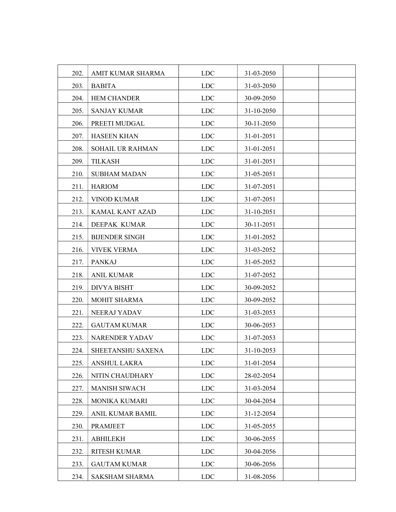| 202. | AMIT KUMAR SHARMA     | LDC        | 31-03-2050 |  |
|------|-----------------------|------------|------------|--|
| 203. | <b>BABITA</b>         | <b>LDC</b> | 31-03-2050 |  |
| 204. | <b>HEM CHANDER</b>    | LDC        | 30-09-2050 |  |
| 205. | <b>SANJAY KUMAR</b>   | $\rm LDC$  | 31-10-2050 |  |
| 206. | PREETI MUDGAL         | <b>LDC</b> | 30-11-2050 |  |
| 207. | <b>HASEEN KHAN</b>    | LDC        | 31-01-2051 |  |
| 208. | SOHAIL UR RAHMAN      | <b>LDC</b> | 31-01-2051 |  |
| 209. | <b>TILKASH</b>        | <b>LDC</b> | 31-01-2051 |  |
| 210. | <b>SUBHAM MADAN</b>   | LDC        | 31-05-2051 |  |
| 211. | <b>HARIOM</b>         | <b>LDC</b> | 31-07-2051 |  |
| 212. | <b>VINOD KUMAR</b>    | <b>LDC</b> | 31-07-2051 |  |
| 213. | KAMAL KANT AZAD       | LDC        | 31-10-2051 |  |
| 214. | DEEPAK KUMAR          | <b>LDC</b> | 30-11-2051 |  |
| 215. | <b>BIJENDER SINGH</b> | <b>LDC</b> | 31-01-2052 |  |
| 216. | <b>VIVEK VERMA</b>    | <b>LDC</b> | 31-03-2052 |  |
| 217. | <b>PANKAJ</b>         | <b>LDC</b> | 31-05-2052 |  |
| 218. | <b>ANIL KUMAR</b>     | LDC        | 31-07-2052 |  |
| 219. | <b>DIVYA BISHT</b>    | <b>LDC</b> | 30-09-2052 |  |
| 220. | MOHIT SHARMA          | <b>LDC</b> | 30-09-2052 |  |
| 221. | NEERAJ YADAV          | LDC        | 31-03-2053 |  |
| 222. | <b>GAUTAM KUMAR</b>   | <b>LDC</b> | 30-06-2053 |  |
| 223. | NARENDER YADAV        | <b>LDC</b> | 31-07-2053 |  |
| 224. | SHEETANSHU SAXENA     | <b>LDC</b> | 31-10-2053 |  |
| 225. | ANSHUL LAKRA          | $\rm LDC$  | 31-01-2054 |  |
| 226. | NITIN CHAUDHARY       | <b>LDC</b> | 28-02-2054 |  |
| 227. | <b>MANISH SIWACH</b>  | LDC        | 31-03-2054 |  |
| 228. | MONIKA KUMARI         | <b>LDC</b> | 30-04-2054 |  |
| 229. | ANIL KUMAR BAMIL      | LDC        | 31-12-2054 |  |
| 230. | <b>PRAMJEET</b>       | $\rm LDC$  | 31-05-2055 |  |
| 231. | <b>ABHILEKH</b>       | <b>LDC</b> | 30-06-2055 |  |
| 232. | <b>RITESH KUMAR</b>   | $\rm LDC$  | 30-04-2056 |  |
| 233. | <b>GAUTAM KUMAR</b>   | LDC        | 30-06-2056 |  |
| 234. | SAKSHAM SHARMA        | <b>LDC</b> | 31-08-2056 |  |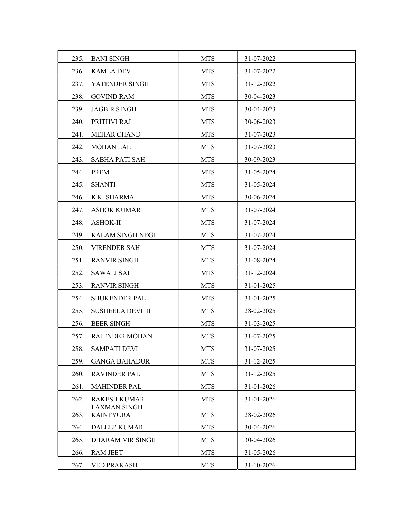| 235. | <b>BANI SINGH</b>                       | <b>MTS</b> | 31-07-2022 |  |
|------|-----------------------------------------|------------|------------|--|
| 236. | <b>KAMLA DEVI</b>                       | <b>MTS</b> | 31-07-2022 |  |
| 237. | YATENDER SINGH                          | <b>MTS</b> | 31-12-2022 |  |
| 238. | <b>GOVIND RAM</b>                       | <b>MTS</b> | 30-04-2023 |  |
| 239. | <b>JAGBIR SINGH</b>                     | <b>MTS</b> | 30-04-2023 |  |
| 240. | PRITHVI RAJ                             | <b>MTS</b> | 30-06-2023 |  |
| 241. | <b>MEHAR CHAND</b>                      | <b>MTS</b> | 31-07-2023 |  |
| 242. | <b>MOHAN LAL</b>                        | <b>MTS</b> | 31-07-2023 |  |
| 243. | <b>SABHA PATI SAH</b>                   | <b>MTS</b> | 30-09-2023 |  |
| 244. | PREM                                    | <b>MTS</b> | 31-05-2024 |  |
| 245. | <b>SHANTI</b>                           | <b>MTS</b> | 31-05-2024 |  |
| 246. | K.K. SHARMA                             | <b>MTS</b> | 30-06-2024 |  |
| 247. | <b>ASHOK KUMAR</b>                      | <b>MTS</b> | 31-07-2024 |  |
| 248. | <b>ASHOK-II</b>                         | <b>MTS</b> | 31-07-2024 |  |
| 249. | KALAM SINGH NEGI                        | <b>MTS</b> | 31-07-2024 |  |
| 250. | <b>VIRENDER SAH</b>                     | <b>MTS</b> | 31-07-2024 |  |
| 251. | <b>RANVIR SINGH</b>                     | <b>MTS</b> | 31-08-2024 |  |
| 252. | <b>SAWALI SAH</b>                       | <b>MTS</b> | 31-12-2024 |  |
| 253. | <b>RANVIR SINGH</b>                     | <b>MTS</b> | 31-01-2025 |  |
| 254. | <b>SHUKENDER PAL</b>                    | <b>MTS</b> | 31-01-2025 |  |
| 255. | <b>SUSHEELA DEVI II</b>                 | <b>MTS</b> | 28-02-2025 |  |
| 256. | <b>BEER SINGH</b>                       | <b>MTS</b> | 31-03-2025 |  |
| 257. | <b>RAJENDER MOHAN</b>                   | <b>MTS</b> | 31-07-2025 |  |
| 258. | <b>SAMPATI DEVI</b>                     | <b>MTS</b> | 31-07-2025 |  |
| 259. | <b>GANGA BAHADUR</b>                    | <b>MTS</b> | 31-12-2025 |  |
| 260. | <b>RAVINDER PAL</b>                     | <b>MTS</b> | 31-12-2025 |  |
| 261. | <b>MAHINDER PAL</b>                     | <b>MTS</b> | 31-01-2026 |  |
| 262. | <b>RAKESH KUMAR</b>                     | <b>MTS</b> | 31-01-2026 |  |
| 263. | <b>LAXMAN SINGH</b><br><b>KAINTYURA</b> | <b>MTS</b> | 28-02-2026 |  |
| 264. | <b>DALEEP KUMAR</b>                     | <b>MTS</b> | 30-04-2026 |  |
| 265. | DHARAM VIR SINGH                        | <b>MTS</b> | 30-04-2026 |  |
| 266. | <b>RAM JEET</b>                         | <b>MTS</b> | 31-05-2026 |  |
| 267. | <b>VED PRAKASH</b>                      | <b>MTS</b> | 31-10-2026 |  |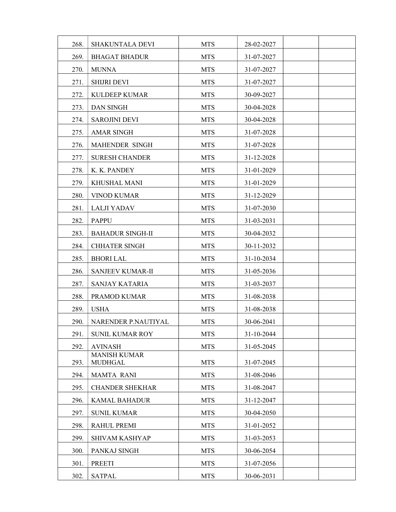| 268. | <b>SHAKUNTALA DEVI</b>                | <b>MTS</b>           | 28-02-2027 |  |
|------|---------------------------------------|----------------------|------------|--|
| 269. | <b>BHAGAT BHADUR</b>                  | <b>MTS</b>           | 31-07-2027 |  |
| 270. | <b>MUNNA</b>                          | <b>MTS</b>           | 31-07-2027 |  |
| 271. | <b>SHIJRI DEVI</b>                    | <b>MTS</b>           | 31-07-2027 |  |
| 272. | <b>KULDEEP KUMAR</b>                  | <b>MTS</b>           | 30-09-2027 |  |
| 273. | <b>DAN SINGH</b>                      | <b>MTS</b>           | 30-04-2028 |  |
| 274. | <b>SAROJINI DEVI</b>                  | <b>MTS</b>           | 30-04-2028 |  |
| 275. | <b>AMAR SINGH</b>                     | <b>MTS</b>           | 31-07-2028 |  |
| 276. | <b>MAHENDER SINGH</b>                 | <b>MTS</b>           | 31-07-2028 |  |
| 277. | <b>SURESH CHANDER</b>                 | <b>MTS</b>           | 31-12-2028 |  |
| 278. | K. K. PANDEY                          | $\operatorname{MTS}$ | 31-01-2029 |  |
| 279. | <b>KHUSHAL MANI</b>                   | <b>MTS</b>           | 31-01-2029 |  |
| 280. | <b>VINOD KUMAR</b>                    | <b>MTS</b>           | 31-12-2029 |  |
| 281. | <b>LALJI YADAV</b>                    | <b>MTS</b>           | 31-07-2030 |  |
| 282. | <b>PAPPU</b>                          | <b>MTS</b>           | 31-03-2031 |  |
| 283. | <b>BAHADUR SINGH-II</b>               | <b>MTS</b>           | 30-04-2032 |  |
| 284. | <b>CHHATER SINGH</b>                  | <b>MTS</b>           | 30-11-2032 |  |
| 285. | <b>BHORI LAL</b>                      | <b>MTS</b>           | 31-10-2034 |  |
| 286. | SANJEEV KUMAR-II                      | <b>MTS</b>           | 31-05-2036 |  |
| 287. | <b>SANJAY KATARIA</b>                 | <b>MTS</b>           | 31-03-2037 |  |
| 288. | PRAMOD KUMAR                          | <b>MTS</b>           | 31-08-2038 |  |
| 289. | <b>USHA</b>                           | <b>MTS</b>           | 31-08-2038 |  |
| 290. | NARENDER P.NAUTIYAL                   | <b>MTS</b>           | 30-06-2041 |  |
| 291. | <b>SUNIL KUMAR ROY</b>                | <b>MTS</b>           | 31-10-2044 |  |
| 292. | <b>AVINASH</b>                        | <b>MTS</b>           | 31-05-2045 |  |
| 293. | <b>MANISH KUMAR</b><br><b>MUDHGAL</b> | $\operatorname{MTS}$ | 31-07-2045 |  |
| 294. | <b>MAMTA RANI</b>                     | <b>MTS</b>           | 31-08-2046 |  |
| 295. | <b>CHANDER SHEKHAR</b>                | <b>MTS</b>           | 31-08-2047 |  |
| 296. | <b>KAMAL BAHADUR</b>                  | <b>MTS</b>           | 31-12-2047 |  |
| 297. | <b>SUNIL KUMAR</b>                    | <b>MTS</b>           | 30-04-2050 |  |
| 298. | <b>RAHUL PREMI</b>                    | <b>MTS</b>           | 31-01-2052 |  |
| 299. | SHIVAM KASHYAP                        | <b>MTS</b>           | 31-03-2053 |  |
| 300. | PANKAJ SINGH                          | <b>MTS</b>           | 30-06-2054 |  |
| 301. | <b>PREETI</b>                         | <b>MTS</b>           | 31-07-2056 |  |
| 302. | <b>SATPAL</b>                         | <b>MTS</b>           | 30-06-2031 |  |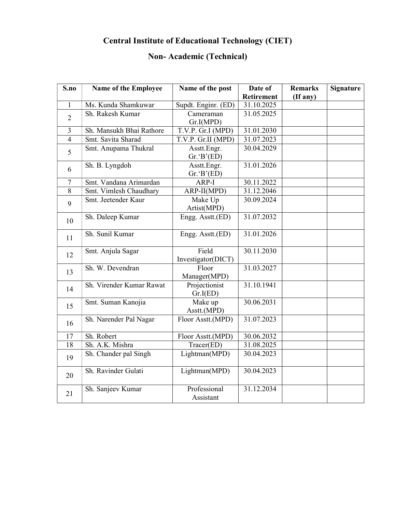#### Central Institute of Educational Technology (CIET)

### Non- Academic (Technical)

| S.no           | Name of the Employee     | Name of the post                 | Date of    | <b>Remarks</b> | <b>Signature</b> |
|----------------|--------------------------|----------------------------------|------------|----------------|------------------|
|                |                          |                                  | Retirement | (If any)       |                  |
| 1              | Ms. Kunda Shamkuwar      | Supdt. Enginr. (ED)              | 31.10.2025 |                |                  |
| $\overline{2}$ | Sh. Rakesh Kumar         | Cameraman                        | 31.05.2025 |                |                  |
|                |                          | Gr.I(MPD)                        |            |                |                  |
| $\mathfrak{Z}$ | Sh. Mansukh Bhai Rathore | T.V.P. Gr.I (MPD)                | 31.01.2030 |                |                  |
| $\overline{4}$ | Smt. Savita Sharad       | $\overline{T.V}$ .P. Gr.II (MPD) | 31.07.2023 |                |                  |
| 5              | Smt. Anupama Thukral     | Asstt.Engr.                      | 30.04.2029 |                |                  |
|                |                          | $Gr.$ ' $B$ ' $(ED)$             |            |                |                  |
| 6              | Sh. B. Lyngdoh           | Asstt.Engr.                      | 31.01.2026 |                |                  |
|                |                          | $Gr.$ ' $B$ ' $(ED)$             |            |                |                  |
| $\tau$         | Smt. Vandana Arimardan   | ARP-I                            | 30.11.2022 |                |                  |
| $8\,$          | Smt. Vimlesh Chaudhary   | ARP-II(MPD)                      | 31.12.2046 |                |                  |
| 9              | Smt. Jeetender Kaur      | Make Up                          | 30.09.2024 |                |                  |
|                |                          | Artist(MPD)                      |            |                |                  |
| 10             | Sh. Daleep Kumar         | Engg. Asstt.(ED)                 | 31.07.2032 |                |                  |
|                |                          |                                  |            |                |                  |
| 11             | Sh. Sunil Kumar          | Engg. Asstt.(ED)                 | 31.01.2026 |                |                  |
| 12             | Smt. Anjula Sagar        | Field                            | 30.11.2030 |                |                  |
|                |                          | Investigator(DICT)               |            |                |                  |
| 13             | Sh. W. Devendran         | Floor                            | 31.03.2027 |                |                  |
|                |                          | Manager(MPD)                     |            |                |                  |
| 14             | Sh. Virender Kumar Rawat | Projectionist                    | 31.10.1941 |                |                  |
|                |                          | Gr.I(ED)                         |            |                |                  |
| 15             | Smt. Suman Kanojia       | Make up                          | 30.06.2031 |                |                  |
|                |                          | Asstt.(MPD)                      |            |                |                  |
| 16             | Sh. Narender Pal Nagar   | Floor Asstt.(MPD)                | 31.07.2023 |                |                  |
|                |                          |                                  |            |                |                  |
| 17             | Sh. Robert               | Floor Asstt.(MPD)                | 30.06.2032 |                |                  |
| 18             | Sh. A.K. Mishra          | Tracer(ED)                       | 31.08.2025 |                |                  |
| 19             | Sh. Chander pal Singh    | Lightman(MPD)                    | 30.04.2023 |                |                  |
| 20             | Sh. Ravinder Gulati      | Lightman(MPD)                    | 30.04.2023 |                |                  |
|                |                          |                                  |            |                |                  |
| 21             | Sh. Sanjeev Kumar        | Professional                     | 31.12.2034 |                |                  |
|                |                          | Assistant                        |            |                |                  |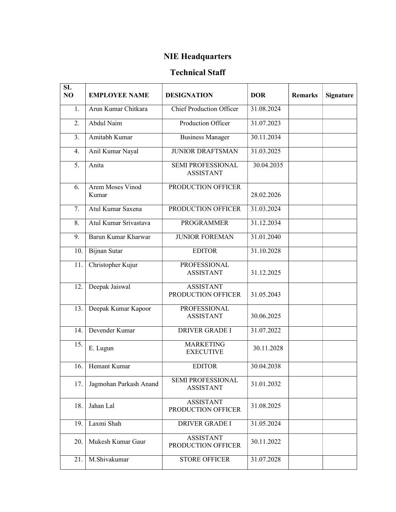### NIE Headquarters

#### Technical Staff

| SL<br>NO | <b>EMPLOYEE NAME</b>             | <b>DESIGNATION</b>                           | <b>DOR</b> | <b>Remarks</b> | <b>Signature</b> |
|----------|----------------------------------|----------------------------------------------|------------|----------------|------------------|
| 1.       | Arun Kumar Chitkara              | <b>Chief Production Officer</b>              | 31.08.2024 |                |                  |
| 2.       | <b>Abdul Naim</b>                | Production Officer                           | 31.07.2023 |                |                  |
| 3.       | Amitabh Kumar                    | <b>Business Manager</b>                      | 30.11.2034 |                |                  |
| 4.       | Anil Kumar Nayal                 | <b>JUNIOR DRAFTSMAN</b>                      | 31.03.2025 |                |                  |
| 5.       | Anita                            | <b>SEMI PROFESSIONAL</b><br><b>ASSISTANT</b> | 30.04.2035 |                |                  |
| 6.       | <b>Arem Moses Vinod</b><br>Kumar | PRODUCTION OFFICER                           | 28.02.2026 |                |                  |
| 7.       | Atul Kumar Saxena                | PRODUCTION OFFICER                           | 31.03.2024 |                |                  |
| 8.       | Atul Kumar Srivastava            | <b>PROGRAMMER</b>                            | 31.12.2034 |                |                  |
| 9.       | Barun Kumar Kharwar              | <b>JUNIOR FOREMAN</b>                        | 31.01.2040 |                |                  |
| 10.      | <b>Bijnan Sutar</b>              | <b>EDITOR</b>                                | 31.10.2028 |                |                  |
| 11.      | Christopher Kujur                | <b>PROFESSIONAL</b><br><b>ASSISTANT</b>      | 31.12.2025 |                |                  |
| 12.      | Deepak Jaiswal                   | <b>ASSISTANT</b><br>PRODUCTION OFFICER       | 31.05.2043 |                |                  |
| 13.      | Deepak Kumar Kapoor              | <b>PROFESSIONAL</b><br><b>ASSISTANT</b>      | 30.06.2025 |                |                  |
| 14.      | Devender Kumar                   | <b>DRIVER GRADE I</b>                        | 31.07.2022 |                |                  |
| 15.      | E. Lugun                         | <b>MARKETING</b><br><b>EXECUTIVE</b>         | 30.11.2028 |                |                  |
| 16.      | Hemant Kumar                     | <b>EDITOR</b>                                | 30.04.2038 |                |                  |
| 17.      | Jagmohan Parkash Anand           | <b>SEMI PROFESSIONAL</b><br><b>ASSISTANT</b> | 31.01.2032 |                |                  |
| 18.      | Jahan Lal                        | <b>ASSISTANT</b><br>PRODUCTION OFFICER       | 31.08.2025 |                |                  |
| 19.      | Laxmi Shah                       | <b>DRIVER GRADE I</b>                        | 31.05.2024 |                |                  |
| 20.      | Mukesh Kumar Gaur                | <b>ASSISTANT</b><br>PRODUCTION OFFICER       | 30.11.2022 |                |                  |
| 21.      | M.Shivakumar                     | <b>STORE OFFICER</b>                         | 31.07.2028 |                |                  |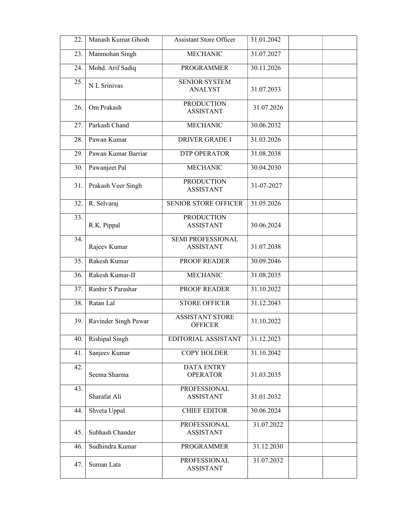| 22.               | Manash Kumar Ghosh   | <b>Assistant Store Officer</b>           | 31.01.2042 |  |
|-------------------|----------------------|------------------------------------------|------------|--|
| 23.               | Manmohan Singh       | <b>MECHANIC</b>                          | 31.07.2027 |  |
| 24.               | Mohd. Arif Sadiq     | <b>PROGRAMMER</b>                        | 30.11.2026 |  |
| 25.               | N L Srinivas         | <b>SENIOR SYSTEM</b><br><b>ANALYST</b>   | 31.07.2033 |  |
| 26.               | Om Prakash           | <b>PRODUCTION</b><br><b>ASSISTANT</b>    | 31.07.2026 |  |
| 27.               | Parkash Chand        | <b>MECHANIC</b>                          | 30.06.2032 |  |
| 28.               | Pawan Kumar          | <b>DRIVER GRADE I</b>                    | 31.03.2026 |  |
| 29.               | Pawan Kumar Barriar  | <b>DTP OPERATOR</b>                      | 31.08.2038 |  |
| 30.               | Pawanjeet Pal        | <b>MECHANIC</b>                          | 30.04.2030 |  |
| 31.               | Prakash Veer Singh   | <b>PRODUCTION</b><br><b>ASSISTANT</b>    | 31-07-2027 |  |
| $\overline{32}$ . | R. Selvaraj          | <b>SENIOR STORE OFFICER</b>              | 31.05.2026 |  |
| $\overline{33}$ . | R.K. Pippal          | <b>PRODUCTION</b><br><b>ASSISTANT</b>    | 30.06.2024 |  |
| 34.               | Rajeev Kumar         | SEMI PROFESSIONAL<br><b>ASSISTANT</b>    | 31.07.2038 |  |
| 35.               | Rakesh Kumar         | PROOF READER                             | 30.09.2046 |  |
| 36.               | Rakesh Kumar-II      | <b>MECHANIC</b>                          | 31.08.2035 |  |
| 37.               | Ranbir S Parashar    | PROOF READER                             | 31.10.2022 |  |
| 38.               | Ratan Lal            | <b>STORE OFFICER</b>                     | 31.12.2043 |  |
| 39.               | Ravinder Singh Pawar | <b>ASSISTANT STORE</b><br><b>OFFICER</b> | 31.10.2022 |  |
| 40.               | Rishipal Singh       | EDITORIAL ASSISTANT                      | 31.12.2023 |  |
| 41.               | Sanjeev Kumar        | <b>COPY HOLDER</b>                       | 31.10.2042 |  |
| 42.               | Seema Sharma         | <b>DATA ENTRY</b><br><b>OPERATOR</b>     | 31.03.2035 |  |
| 43.               | Sharafat Ali         | PROFESSIONAL<br><b>ASSISTANT</b>         | 31.01.2032 |  |
| 44.               | Shveta Uppal         | <b>CHIEF EDITOR</b>                      | 30.06.2024 |  |
| 45.               | Subhash Chander      | PROFESSIONAL<br><b>ASSISTANT</b>         | 31.07.2022 |  |
| 46.               | Sudhindra Kumar      | <b>PROGRAMMER</b>                        | 31.12.2030 |  |
| 47.               | Suman Lata           | <b>PROFESSIONAL</b><br><b>ASSISTANT</b>  | 31.07.2032 |  |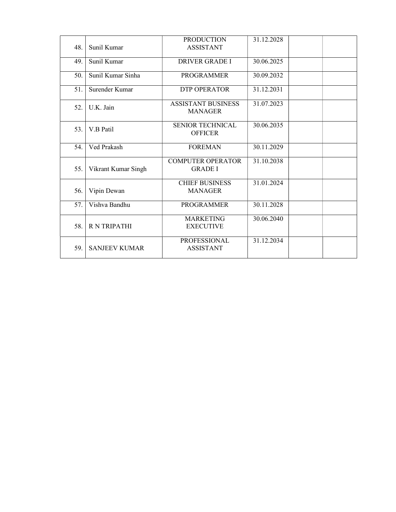| 48. | Sunil Kumar          | <b>PRODUCTION</b><br><b>ASSISTANT</b>       | 31.12.2028 |  |
|-----|----------------------|---------------------------------------------|------------|--|
| 49. | Sunil Kumar          | <b>DRIVER GRADE I</b>                       | 30.06.2025 |  |
| 50. | Sunil Kumar Sinha    | <b>PROGRAMMER</b>                           | 30.09.2032 |  |
| 51. | Surender Kumar       | <b>DTP OPERATOR</b>                         | 31.12.2031 |  |
| 52. | U.K. Jain            | <b>ASSISTANT BUSINESS</b><br><b>MANAGER</b> | 31.07.2023 |  |
| 53. | V.B Patil            | <b>SENIOR TECHNICAL</b><br><b>OFFICER</b>   | 30.06.2035 |  |
| 54. | Ved Prakash          | <b>FOREMAN</b>                              | 30.11.2029 |  |
| 55. | Vikrant Kumar Singh  | <b>COMPUTER OPERATOR</b><br><b>GRADE I</b>  | 31.10.2038 |  |
| 56. | Vipin Dewan          | <b>CHIEF BUSINESS</b><br><b>MANAGER</b>     | 31.01.2024 |  |
| 57. | Vishva Bandhu        | <b>PROGRAMMER</b>                           | 30.11.2028 |  |
| 58. | <b>RNTRIPATHI</b>    | <b>MARKETING</b><br><b>EXECUTIVE</b>        | 30.06.2040 |  |
| 59. | <b>SANJEEV KUMAR</b> | <b>PROFESSIONAL</b><br><b>ASSISTANT</b>     | 31.12.2034 |  |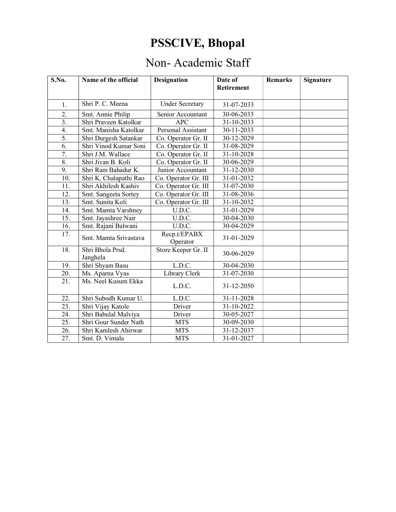# PSSCIVE, Bhopal

# Non- Academic Staff

| S.No.             | Name of the official         | <b>Designation</b><br>Date of<br>Retirement |            | <b>Remarks</b> | <b>Signature</b> |
|-------------------|------------------------------|---------------------------------------------|------------|----------------|------------------|
|                   |                              |                                             |            |                |                  |
| 1.                | Shri P. C. Meena             | <b>Under Secretary</b>                      | 31-07-2033 |                |                  |
| $\overline{2}$ .  | Smt. Annie Philip            | Senior Accountant                           | 30-06-2033 |                |                  |
| $\overline{3}$ .  | Shri Praveen Katolkar        | <b>APC</b>                                  | 31-10-2033 |                |                  |
| 4.                | Smt. Manisha Katolkar        | Personal Assistant                          | 30-11-2033 |                |                  |
| 5.                | Shri Durgesh Satankar        | Co. Operator Gr. II                         | 30-12-2029 |                |                  |
| $\overline{6}$ .  | Shri Vinod Kumar Soni        | Co. Operator Gr. II                         | 31-08-2029 |                |                  |
| 7.                | Shri J.M. Wallace            | Co. Operator Gr. II                         | 31-10-2028 |                |                  |
| 8.                | Shri Jivan B. Koli           | Co. Operator Gr. II                         | 30-06-2029 |                |                  |
| 9.                | Shri Ram Bahadur K.          | Junior Accountant                           | 31-12-2030 |                |                  |
| 10.               | Shri K. Chalapathi Rao       | Co. Operator Gr. III                        | 31-01-2032 |                |                  |
| 11.               | Shri Akhilesh Kashiv         | Co. Operator Gr. III                        | 31-07-2030 |                |                  |
| 12.               | Smt. Sangeeta Sortey         | Co. Operator Gr. III                        | 31-08-2036 |                |                  |
| 13.               | Smt. Sunita Koli             | Co. Operator Gr. III                        | 31-10-2032 |                |                  |
| 14.               | Smt. Mamta Varshney          | U.D.C.                                      | 31-01-2029 |                |                  |
| 15.               | Smt. Jayashree Nair          | U.D.C.                                      | 30-04-2030 |                |                  |
| 16.               | Smt. Rajani Balwani          | U.D.C.                                      | 30-04-2029 |                |                  |
| 17.               | Smt. Mamta Srivastava        | Recp.t/EPABX<br>Operator                    | 31-01-2029 |                |                  |
| 18.               | Shri Bhola Prsd.<br>Janghela | Store Keeper Gr. II                         | 30-06-2029 |                |                  |
| 19.               | Shri Shyam Basu              | L.D.C.                                      | 30-04-2030 |                |                  |
| 20.               | Ms. Aparna Vyas              | Library Clerk                               | 31-07-2030 |                |                  |
| 21.               | Ms. Neel Kusum Ekka          | L.D.C.                                      | 31-12-2050 |                |                  |
| 22.               | Shri Subodh Kumar U.         | L.D.C.                                      | 31-11-2028 |                |                  |
| 23.               | Shri Vijay Katole            | Driver                                      | 31-10-2022 |                |                  |
| 24.               | Shri Babulal Malviya         | Driver                                      | 30-05-2027 |                |                  |
| 25.               | Shri Gour Sunder Nath        | <b>MTS</b>                                  | 30-09-2030 |                |                  |
| 26.               | Shri Kamlesh Ahirwar         | <b>MTS</b>                                  | 31-12-2037 |                |                  |
| $\overline{27}$ . | Smt. D. Vimala               | <b>MTS</b>                                  | 31-01-2027 |                |                  |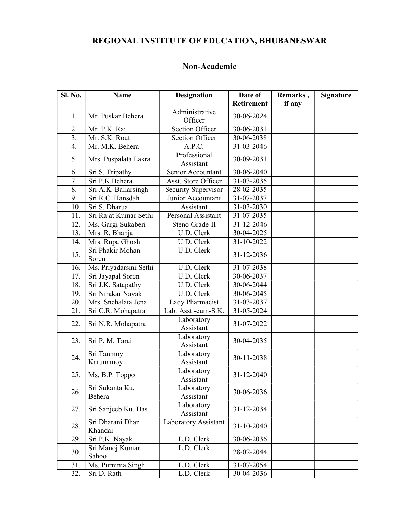### REGIONAL INSTITUTE OF EDUCATION, BHUBANESWAR

| <b>Sl. No.</b>   | <b>Name</b>                 | <b>Designation</b>        | Date of<br>Remarks, |        | <b>Signature</b> |
|------------------|-----------------------------|---------------------------|---------------------|--------|------------------|
|                  |                             |                           | <b>Retirement</b>   | if any |                  |
| 1.               | Mr. Puskar Behera           | Administrative<br>Officer | 30-06-2024          |        |                  |
| 2.               | Mr. P.K. Rai                | <b>Section Officer</b>    | 30-06-2031          |        |                  |
| $\overline{3}$ . | Mr. S.K. Rout               | <b>Section Officer</b>    | 30-06-2038          |        |                  |
| 4.               | Mr. M.K. Behera             | A.P.C.                    | 31-03-2046          |        |                  |
| 5.               | Mrs. Puspalata Lakra        | Professional<br>Assistant | 30-09-2031          |        |                  |
| 6.               | Sri S. Tripathy             | Senior Accountant         | 30-06-2040          |        |                  |
| $\overline{7}$ . | Sri P.K.Behera              | Asst. Store Officer       | 31-03-2035          |        |                  |
| 8.               | Sri A.K. Baliarsingh        | Security Supervisor       | 28-02-2035          |        |                  |
| 9.               | Sri R.C. Hansdah            | Junior Accountant         | 31-07-2037          |        |                  |
| 10.              | Sri S. Dharua               | Assistant                 | 31-03-2030          |        |                  |
| 11.              | Sri Rajat Kumar Sethi       | Personal Assistant        | 31-07-2035          |        |                  |
| 12.              | Ms. Gargi Sukaberi          | Steno Grade-II            | 31-12-2046          |        |                  |
| 13.              | Mrs. R. Bhanja              | U.D. Clerk                | 30-04-2025          |        |                  |
| 14.              | Mrs. Rupa Ghosh             | U.D. Clerk                | 31-10-2022          |        |                  |
| 15.              | Sri Phakir Mohan<br>Soren   | U.D. Clerk                | 31-12-2036          |        |                  |
| 16.              | Ms. Priyadarsini Sethi      | U.D. Clerk                | 31-07-2038          |        |                  |
| 17.              | Sri Jayapal Soren           | U.D. Clerk                | 30-06-2037          |        |                  |
| 18.              | Sri J.K. Satapathy          | U.D. Clerk                | 30-06-2044          |        |                  |
| 19.              | Sri Nirakar Nayak           | U.D. Clerk                | 30-06-2045          |        |                  |
| 20.              | Mrs. Snehalata Jena         | Lady Pharmacist           | 31-03-2037          |        |                  |
| 21.              | Sri C.R. Mohapatra          | Lab. Asst.-cum-S.K.       | 31-05-2024          |        |                  |
| 22.              | Sri N.R. Mohapatra          | Laboratory<br>Assistant   | 31-07-2022          |        |                  |
| 23.              | Sri P. M. Tarai             | Laboratory<br>Assistant   | 30-04-2035          |        |                  |
| 24.              | Sri Tanmoy<br>Karunamoy     | Laboratory<br>Assistant   | 30-11-2038          |        |                  |
| 25.              | Ms. B.P. Toppo              | Laboratory<br>Assistant   | 31-12-2040          |        |                  |
| 26.              | Sri Sukanta Ku.<br>Behera   | Laboratory<br>Assistant   | 30-06-2036          |        |                  |
| 27.              | Sri Sanjeeb Ku. Das         | Laboratory<br>Assistant   | 31-12-2034          |        |                  |
| 28.              | Sri Dharani Dhar<br>Khandai | Laboratory Assistant      | 31-10-2040          |        |                  |
| 29.              | Sri P.K. Nayak              | L.D. Clerk                | 30-06-2036          |        |                  |
| 30.              | Sri Manoj Kumar<br>Sahoo    | L.D. Clerk                | 28-02-2044          |        |                  |
| 31.              | Ms. Purnima Singh           | L.D. Clerk                | 31-07-2054          |        |                  |
| 32.              | Sri D. Rath                 | L.D. Clerk                | 30-04-2036          |        |                  |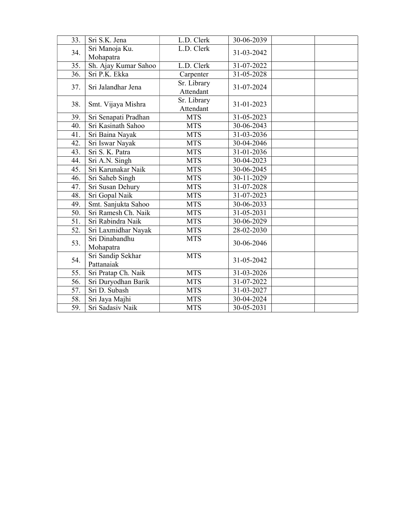| 33. | Sri S.K. Jena        | L.D. Clerk  | 30-06-2039 |  |
|-----|----------------------|-------------|------------|--|
| 34. | Sri Manoja Ku.       | L.D. Clerk  | 31-03-2042 |  |
|     | Mohapatra            |             |            |  |
| 35. | Sh. Ajay Kumar Sahoo | L.D. Clerk  | 31-07-2022 |  |
| 36. | Sri P.K. Ekka        | Carpenter   | 31-05-2028 |  |
| 37. | Sri Jalandhar Jena   | Sr. Library | 31-07-2024 |  |
|     |                      | Attendant   |            |  |
| 38. | Smt. Vijaya Mishra   | Sr. Library | 31-01-2023 |  |
|     |                      | Attendant   |            |  |
| 39. | Sri Senapati Pradhan | <b>MTS</b>  | 31-05-2023 |  |
| 40. | Sri Kasinath Sahoo   | <b>MTS</b>  | 30-06-2043 |  |
| 41. | Sri Baina Nayak      | <b>MTS</b>  | 31-03-2036 |  |
| 42. | Sri Iswar Nayak      | <b>MTS</b>  | 30-04-2046 |  |
| 43. | Sri S. K. Patra      | <b>MTS</b>  | 31-01-2036 |  |
| 44. | Sri A.N. Singh       | <b>MTS</b>  | 30-04-2023 |  |
| 45. | Sri Karunakar Naik   | <b>MTS</b>  | 30-06-2045 |  |
| 46. | Sri Saheb Singh      | <b>MTS</b>  | 30-11-2029 |  |
| 47. | Sri Susan Dehury     | <b>MTS</b>  | 31-07-2028 |  |
| 48. | Sri Gopal Naik       | <b>MTS</b>  | 31-07-2023 |  |
| 49. | Smt. Sanjukta Sahoo  | <b>MTS</b>  | 30-06-2033 |  |
| 50. | Sri Ramesh Ch. Naik  | <b>MTS</b>  | 31-05-2031 |  |
| 51. | Sri Rabindra Naik    | <b>MTS</b>  | 30-06-2029 |  |
| 52. | Sri Laxmidhar Nayak  | <b>MTS</b>  | 28-02-2030 |  |
| 53. | Sri Dinabandhu       | <b>MTS</b>  | 30-06-2046 |  |
|     | Mohapatra            |             |            |  |
| 54. | Sri Sandip Sekhar    | <b>MTS</b>  | 31-05-2042 |  |
|     | Pattanaiak           |             |            |  |
| 55. | Sri Pratap Ch. Naik  | <b>MTS</b>  | 31-03-2026 |  |
| 56. | Sri Duryodhan Barik  | <b>MTS</b>  | 31-07-2022 |  |
| 57. | Sri D. Subash        | <b>MTS</b>  | 31-03-2027 |  |
| 58. | Sri Jaya Majhi       | <b>MTS</b>  | 30-04-2024 |  |
| 59. | Sri Sadasiv Naik     | <b>MTS</b>  | 30-05-2031 |  |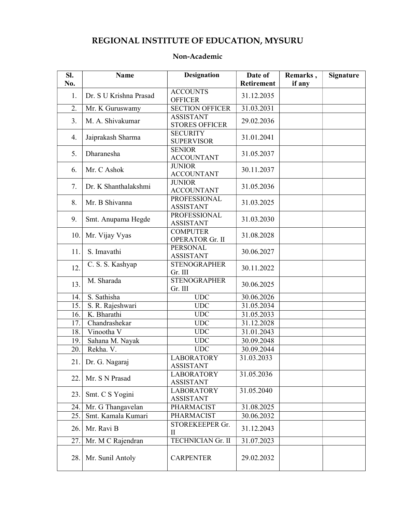### REGIONAL INSTITUTE OF EDUCATION, MYSURU

| SI. | <b>Name</b>            | <b>Designation</b>                        | Date of<br>Remarks, |        | <b>Signature</b> |
|-----|------------------------|-------------------------------------------|---------------------|--------|------------------|
| No. |                        |                                           | <b>Retirement</b>   | if any |                  |
| 1.  | Dr. S U Krishna Prasad | <b>ACCOUNTS</b><br><b>OFFICER</b>         | 31.12.2035          |        |                  |
| 2.  | Mr. K Guruswamy        | <b>SECTION OFFICER</b>                    | 31.03.2031          |        |                  |
| 3.  | M. A. Shivakumar       | <b>ASSISTANT</b><br><b>STORES OFFICER</b> | 29.02.2036          |        |                  |
| 4.  | Jaiprakash Sharma      | <b>SECURITY</b><br><b>SUPERVISOR</b>      | 31.01.2041          |        |                  |
| 5.  | Dharanesha             | <b>SENIOR</b><br><b>ACCOUNTANT</b>        | 31.05.2037          |        |                  |
| 6.  | Mr. C Ashok            | <b>JUNIOR</b><br><b>ACCOUNTANT</b>        | 30.11.2037          |        |                  |
| 7.  | Dr. K Shanthalakshmi   | <b>JUNIOR</b><br><b>ACCOUNTANT</b>        | 31.05.2036          |        |                  |
| 8.  | Mr. B Shivanna         | <b>PROFESSIONAL</b><br><b>ASSISTANT</b>   | 31.03.2025          |        |                  |
| 9.  | Smt. Anupama Hegde     | <b>PROFESSIONAL</b><br><b>ASSISTANT</b>   | 31.03.2030          |        |                  |
| 10. | Mr. Vijay Vyas         | <b>COMPUTER</b><br><b>OPERATOR Gr. II</b> | 31.08.2028          |        |                  |
| 11. | S. Imavathi            | <b>PERSONAL</b><br><b>ASSISTANT</b>       | 30.06.2027          |        |                  |
| 12. | C. S. S. Kashyap       | <b>STENOGRAPHER</b><br>Gr. III            | 30.11.2022          |        |                  |
| 13. | M. Sharada             | <b>STENOGRAPHER</b><br>Gr. III            | 30.06.2025          |        |                  |
| 14. | S. Sathisha            | <b>UDC</b>                                | 30.06.2026          |        |                  |
| 15. | S. R. Rajeshwari       | <b>UDC</b>                                | 31.05.2034          |        |                  |
| 16. | K. Bharathi            | <b>UDC</b>                                | 31.05.2033          |        |                  |
| 17. | Chandrashekar          | <b>UDC</b>                                | 31.12.2028          |        |                  |
| 18. | Vinootha V             | <b>UDC</b>                                | 31.01.2043          |        |                  |
| 19. | Sahana M. Nayak        | <b>UDC</b>                                | 30.09.2048          |        |                  |
| 20. | Rekha. V.              | <b>UDC</b>                                | 30.09.2044          |        |                  |
| 21. | Dr. G. Nagaraj         | <b>LABORATORY</b><br><b>ASSISTANT</b>     | 31.03.2033          |        |                  |
| 22. | Mr. S N Prasad         | <b>LABORATORY</b><br><b>ASSISTANT</b>     | 31.05.2036          |        |                  |
| 23. | Smt. C S Yogini        | <b>LABORATORY</b><br><b>ASSISTANT</b>     | 31.05.2040          |        |                  |
| 24. | Mr. G Thangavelan      | <b>PHARMACIST</b>                         | 31.08.2025          |        |                  |
| 25. | Smt. Kamala Kumari     | <b>PHARMACIST</b>                         | 30.06.2032          |        |                  |
| 26. | Mr. Ravi B             | STOREKEEPER Gr.<br>$\rm II$               | 31.12.2043          |        |                  |
| 27. | Mr. M C Rajendran      | TECHNICIAN Gr. II                         | 31.07.2023          |        |                  |
| 28. | Mr. Sunil Antoly       | <b>CARPENTER</b>                          | 29.02.2032          |        |                  |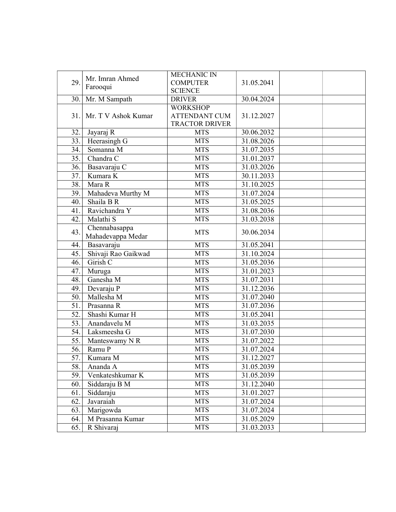|     | Mr. Imran Ahmed     | MECHANIC IN           |            |  |
|-----|---------------------|-----------------------|------------|--|
| 29. | Farooqui            | <b>COMPUTER</b>       | 31.05.2041 |  |
|     |                     | <b>SCIENCE</b>        |            |  |
| 30. | Mr. M Sampath       | <b>DRIVER</b>         | 30.04.2024 |  |
|     |                     | <b>WORKSHOP</b>       |            |  |
| 31. | Mr. T V Ashok Kumar | <b>ATTENDANT CUM</b>  | 31.12.2027 |  |
|     |                     | <b>TRACTOR DRIVER</b> |            |  |
| 32. | Jayaraj R           | <b>MTS</b>            | 30.06.2032 |  |
| 33. | Heerasingh G        | <b>MTS</b>            | 31.08.2026 |  |
| 34. | Somanna M           | <b>MTS</b>            | 31.07.2035 |  |
| 35. | Chandra C           | <b>MTS</b>            | 31.01.2037 |  |
| 36. | Basavaraju C        | <b>MTS</b>            | 31.03.2026 |  |
| 37. | Kumara K            | <b>MTS</b>            | 30.11.2033 |  |
| 38. | Mara R              | <b>MTS</b>            | 31.10.2025 |  |
| 39. | Mahadeva Murthy M   | <b>MTS</b>            | 31.07.2024 |  |
| 40. | Shaila B R          | <b>MTS</b>            | 31.05.2025 |  |
| 41. | Ravichandra Y       | <b>MTS</b>            | 31.08.2036 |  |
| 42. | Malathi S           | <b>MTS</b>            | 31.03.2038 |  |
| 43. | Chennabasappa       | <b>MTS</b>            | 30.06.2034 |  |
|     | Mahadevappa Medar   |                       |            |  |
| 44. | Basavaraju          | <b>MTS</b>            | 31.05.2041 |  |
| 45. | Shivaji Rao Gaikwad | <b>MTS</b>            | 31.10.2024 |  |
| 46. | Girish C            | <b>MTS</b>            | 31.05.2036 |  |
| 47. | Muruga              | <b>MTS</b>            | 31.01.2023 |  |
| 48. | Ganesha M           | <b>MTS</b>            | 31.07.2031 |  |
| 49. | Devaraju P          | <b>MTS</b>            | 31.12.2036 |  |
| 50. | Mallesha M          | <b>MTS</b>            | 31.07.2040 |  |
| 51. | Prasanna R          | <b>MTS</b>            | 31.07.2036 |  |
| 52. | Shashi Kumar H      | <b>MTS</b>            | 31.05.2041 |  |
| 53. | Anandavelu M        | <b>MTS</b>            | 31.03.2035 |  |
| 54. | Laksmeesha G        | <b>MTS</b>            | 31.07.2030 |  |
| 55. | Manteswamy N R      | <b>MTS</b>            | 31.07.2022 |  |
| 56. | Ramu P              | <b>MTS</b>            | 31.07.2024 |  |
| 57. | Kumara M            | <b>MTS</b>            | 31.12.2027 |  |
| 58. | Ananda A            | <b>MTS</b>            | 31.05.2039 |  |
| 59. | Venkateshkumar K    | <b>MTS</b>            | 31.05.2039 |  |
| 60. | Siddaraju B M       | <b>MTS</b>            | 31.12.2040 |  |
| 61. | Siddaraju           | <b>MTS</b>            | 31.01.2027 |  |
| 62. | Javaraiah           | <b>MTS</b>            | 31.07.2024 |  |
| 63. | Marigowda           | <b>MTS</b>            | 31.07.2024 |  |
| 64. | M Prasanna Kumar    | <b>MTS</b>            | 31.05.2029 |  |
| 65. | R Shivaraj          | <b>MTS</b>            | 31.03.2033 |  |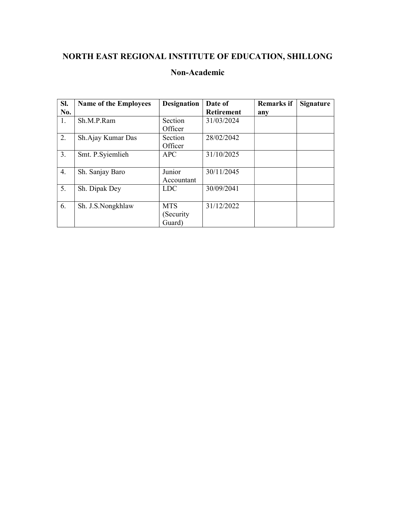### NORTH EAST REGIONAL INSTITUTE OF EDUCATION, SHILLONG

| SI. | <b>Name of the Employees</b> | <b>Designation</b> | Date of           | <b>Remarks if</b> | <b>Signature</b> |
|-----|------------------------------|--------------------|-------------------|-------------------|------------------|
| No. |                              |                    | <b>Retirement</b> | any               |                  |
| 1.  | Sh.M.P.Ram                   | Section            | 31/03/2024        |                   |                  |
|     |                              | Officer            |                   |                   |                  |
| 2.  | Sh. Ajay Kumar Das           | Section            | 28/02/2042        |                   |                  |
|     |                              | Officer            |                   |                   |                  |
| 3.  | Smt. P. Syiemlieh            | <b>APC</b>         | 31/10/2025        |                   |                  |
|     |                              |                    |                   |                   |                  |
| 4.  | Sh. Sanjay Baro              | Junior             | 30/11/2045        |                   |                  |
|     |                              | Accountant         |                   |                   |                  |
| 5.  | Sh. Dipak Dey                | LDC.               | 30/09/2041        |                   |                  |
|     |                              |                    |                   |                   |                  |
| 6.  | Sh. J.S.Nongkhlaw            | <b>MTS</b>         | 31/12/2022        |                   |                  |
|     |                              | (Security          |                   |                   |                  |
|     |                              | Guard)             |                   |                   |                  |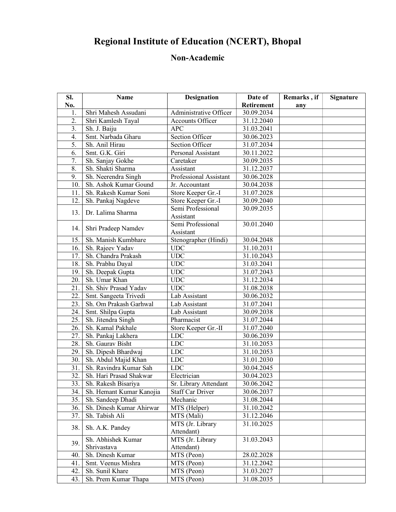# Regional Institute of Education (NCERT), Bhopal

| SI. | <b>Name</b>              | <b>Designation</b>             | Date of<br>Remarks, if |     | Signature |  |
|-----|--------------------------|--------------------------------|------------------------|-----|-----------|--|
| No. |                          |                                | Retirement             | any |           |  |
| 1.  | Shri Mahesh Assudani     | Administrative Officer         | 30.09.2034             |     |           |  |
| 2.  | Shri Kamlesh Tayal       | <b>Accounts Officer</b>        | 31.12.2040             |     |           |  |
| 3.  | Sh. J. Baiju             | <b>APC</b>                     | 31.03.2041             |     |           |  |
| 4.  | Smt. Narbada Gharu       | <b>Section Officer</b>         | 30.06.2023             |     |           |  |
| 5.  | Sh. Anil Hirau           | <b>Section Officer</b>         | 31.07.2034             |     |           |  |
| 6.  | Smt. G.K. Giri           | Personal Assistant             | 30.11.2022             |     |           |  |
| 7.  | Sh. Sanjay Gokhe         | Caretaker                      | 30.09.2035             |     |           |  |
| 8.  | Sh. Shakti Sharma        | Assistant                      | 31.12.2037             |     |           |  |
| 9.  | Sh. Neerendra Singh      | Professional Assistant         | 30.06.2028             |     |           |  |
| 10. | Sh. Ashok Kumar Gound    | Jr. Accountant                 | 30.04.2038             |     |           |  |
| 11. | Sh. Rakesh Kumar Soni    | Store Keeper Gr.-I             | 31.07.2028             |     |           |  |
| 12. | Sh. Pankaj Nagdeve       | Store Keeper Gr.-I             | 30.09.2040             |     |           |  |
| 13. | Dr. Lalima Sharma        | Semi Professional<br>Assistant | 30.09.2035             |     |           |  |
| 14. | Shri Pradeep Namdev      | Semi Professional<br>Assistant | 30.01.2040             |     |           |  |
| 15. | Sh. Manish Kumbhare      | Stenographer (Hindi)           | 30.04.2048             |     |           |  |
| 16. | Sh. Rajeev Yadav         | <b>UDC</b>                     | 31.10.2031             |     |           |  |
| 17. | Sh. Chandra Prakash      | <b>UDC</b>                     | 31.10.2043             |     |           |  |
| 18. | Sh. Prabhu Dayal         | <b>UDC</b>                     | 31.03.2041             |     |           |  |
| 19. | Sh. Deepak Gupta         | <b>UDC</b>                     | 31.07.2043             |     |           |  |
| 20. | Sh. Umar Khan            | <b>UDC</b>                     | 31.12.2034             |     |           |  |
| 21. | Sh. Shiv Prasad Yadav    | <b>UDC</b>                     | 31.08.2038             |     |           |  |
| 22. | Smt. Sangeeta Trivedi    | Lab Assistant                  | 30.06.2032             |     |           |  |
| 23. | Sh. Om Prakash Garhwal   | Lab Assistant                  | 31.07.2041             |     |           |  |
| 24. | Smt. Shilpa Gupta        | Lab Assistant                  | 30.09.2038             |     |           |  |
| 25. | Sh. Jitendra Singh       | Pharmacist                     | 31.07.2044             |     |           |  |
| 26. | Sh. Kamal Pakhale        | Store Keeper Gr.-II            | 31.07.2040             |     |           |  |
| 27. | Sh. Pankaj Lakhera       | <b>LDC</b>                     | 30.06.2039             |     |           |  |
| 28. | Sh. Gaurav Bisht         | $LD\overline{C}$               | 31.10.2053             |     |           |  |
| 29. | Sh. Dipesh Bhardwaj      | <b>LDC</b>                     | 31.10.2053             |     |           |  |
| 30. | Sh. Abdul Majid Khan     | LDC                            | 31.01.2030             |     |           |  |
| 31. | Sh. Ravindra Kumar Sah   | <b>LDC</b>                     | 30.04.2045             |     |           |  |
| 32. | Sh. Hari Prasad Shakwar  | Electrician                    | 30.04.2023             |     |           |  |
| 33. | Sh. Rakesh Bisariya      | Sr. Library Attendant          | 30.06.2042             |     |           |  |
| 34. | Sh. Hemant Kumar Kanojia | <b>Staff Car Driver</b>        | 30.06.2037             |     |           |  |
| 35. | Sh. Sandeep Dhadi        | Mechanic                       | 31.08.2044             |     |           |  |
| 36. | Sh. Dinesh Kumar Ahirwar | MTS (Helper)                   | 31.10.2042             |     |           |  |
| 37. | Sh. Tabish Ali           | MTS (Mali)                     | 31.12.2046             |     |           |  |
| 38. | Sh. A.K. Pandey          | MTS (Jr. Library<br>Attendant) | 31.10.2025             |     |           |  |
|     | Sh. Abhishek Kumar       | MTS (Jr. Library               | 31.03.2043             |     |           |  |
| 39. | Shrivastava              | Attendant)                     |                        |     |           |  |
| 40. | Sh. Dinesh Kumar         | MTS (Peon)                     | 28.02.2028             |     |           |  |
| 41. | Smt. Veenus Mishra       | MTS (Peon)                     | 31.12.2042             |     |           |  |
| 42. | Sh. Sunil Khare          | MTS (Peon)                     | 31.03.2027             |     |           |  |
| 43. | Sh. Prem Kumar Thapa     | MTS (Peon)                     | 31.08.2035             |     |           |  |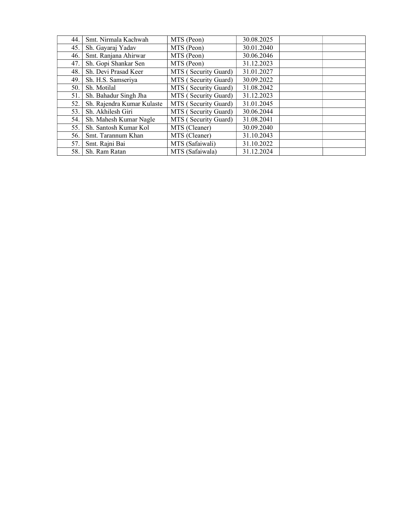| 44. | Smt. Nirmala Kachwah       | MTS (Peon)           | 30.08.2025 |  |
|-----|----------------------------|----------------------|------------|--|
| 45. | Sh. Gayaraj Yadav          | MTS (Peon)           | 30.01.2040 |  |
| 46. | Smt. Ranjana Ahirwar       | MTS (Peon)           | 30.06.2046 |  |
| 47. | Sh. Gopi Shankar Sen       | MTS (Peon)           | 31.12.2023 |  |
| 48. | Sh. Devi Prasad Keer       | MTS (Security Guard) | 31.01.2027 |  |
| 49. | Sh. H.S. Samseriya         | MTS (Security Guard) | 30.09.2022 |  |
| 50. | Sh. Motilal                | MTS (Security Guard) | 31.08.2042 |  |
| 51. | Sh. Bahadur Singh Jha      | MTS (Security Guard) | 31.12.2023 |  |
| 52. | Sh. Rajendra Kumar Kulaste | MTS (Security Guard) | 31.01.2045 |  |
| 53. | Sh. Akhilesh Giri          | MTS (Security Guard) | 30.06.2044 |  |
| 54. | Sh. Mahesh Kumar Nagle     | MTS (Security Guard) | 31.08.2041 |  |
| 55. | Sh. Santosh Kumar Kol      | MTS (Cleaner)        | 30.09.2040 |  |
| 56. | Smt. Tarannum Khan         | MTS (Cleaner)        | 31.10.2043 |  |
| 57. | Smt. Rajni Bai             | MTS (Safaiwali)      | 31.10.2022 |  |
| 58. | Sh. Ram Ratan              | MTS (Safaiwala)      | 31.12.2024 |  |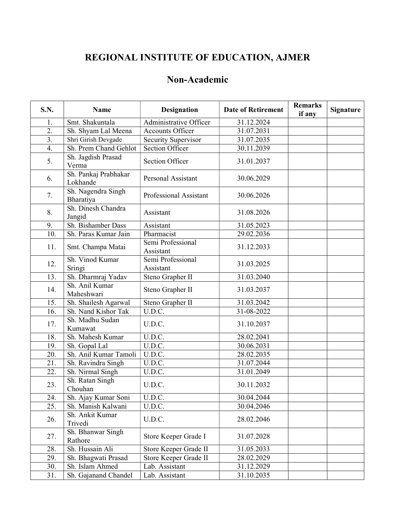## REGIONAL INSTITUTE OF EDUCATION, AJMER

| S.N. | Name                             | <b>Date of Retirement</b><br><b>Designation</b> |            | <b>Remarks</b><br>if any | <b>Signature</b> |
|------|----------------------------------|-------------------------------------------------|------------|--------------------------|------------------|
| 1.   | Smt. Shakuntala                  | Administrative Officer                          | 31.12.2024 |                          |                  |
| 2.   | Sh. Shyam Lal Meena              | <b>Accounts Officer</b>                         | 31.07.2031 |                          |                  |
| 3.   | Shri Girish Devgade              | Security Supervisor                             | 31.07.2035 |                          |                  |
| 4.   | Sh. Prem Chand Gehlot            | <b>Section Officer</b>                          | 30.11.2039 |                          |                  |
| 5.   | Sh. Jagdish Prasad<br>Verma      | <b>Section Officer</b>                          | 31.01.2037 |                          |                  |
| 6.   | Sh. Pankaj Prabhakar<br>Lokhande | <b>Personal Assistant</b>                       | 30.06.2029 |                          |                  |
| 7.   | Sh. Nagendra Singh<br>Bharatiya  | Professional Assistant                          | 30.06.2026 |                          |                  |
| 8.   | Sh. Dinesh Chandra<br>Jangid     | Assistant                                       | 31.08.2026 |                          |                  |
| 9.   | Sh. Bishamber Dass               | Assistant                                       | 31.05.2023 |                          |                  |
| 10.  | Sh. Paras Kumar Jain             | Pharmacist                                      | 29.02.2036 |                          |                  |
| 11.  | Smt. Champa Matai                | Semi Professional<br>Assistant                  | 31.12.2033 |                          |                  |
| 12.  | Sh. Vinod Kumar<br>Sringi        | Semi Professional<br>31.03.2025<br>Assistant    |            |                          |                  |
| 13.  | Sh. Dharmraj Yadav               | Steno Grapher II                                | 31.03.2040 |                          |                  |
| 14.  | Sh. Anil Kumar<br>Maheshwari     | Steno Grapher II                                | 31.03.2037 |                          |                  |
| 15.  | Sh. Shailesh Agarwal             | Steno Grapher II                                | 31.03.2042 |                          |                  |
| 16.  | Sh. Nand Kishor Tak              | U.D.C.                                          | 31-08-2022 |                          |                  |
| 17.  | Sh. Madhu Sudan<br>Kumawat       | U.D.C.                                          | 31.10.2037 |                          |                  |
| 18.  | Sh. Mahesh Kumar                 | U.D.C.                                          | 28.02.2041 |                          |                  |
| 19.  | Sh. Gopal Lal                    | U.D.C.                                          | 30.06.2031 |                          |                  |
| 20.  | Sh. Anil Kumar Tamoli            | U.D.C.                                          | 28.02.2035 |                          |                  |
| 21.  | Sh. Ravindra Singh               | U.D.C.                                          | 31.07.2044 |                          |                  |
| 22.  | Sh. Nirmal Singh                 | U.D.C.                                          | 31.01.2049 |                          |                  |
| 23.  | Sh. Ratan Singh<br>Chouhan       | U.D.C.                                          | 30.11.2032 |                          |                  |
| 24.  | Sh. Ajay Kumar Soni              | U.D.C.                                          | 30.04.2044 |                          |                  |
| 25.  | Sh. Manish Kalwani               | U.D.C.                                          | 30.04.2046 |                          |                  |
| 26.  | Sh. Ankit Kumar<br>Trivedi       | U.D.C.                                          | 28.02.2046 |                          |                  |
| 27.  | Sh. Bhanwar Singh<br>Rathore     | Store Keeper Grade I                            | 31.07.2028 |                          |                  |
| 28.  | Sh. Hussain Ali                  | Store Keeper Grade II                           | 31.05.2033 |                          |                  |
| 29.  | Sh. Bhagwati Prasad              | Store Keeper Grade II                           | 28.02.2029 |                          |                  |
| 30.  | Sh. Islam Ahmed                  | Lab. Assistant                                  | 31.12.2029 |                          |                  |
| 31.  | Sh. Gajanand Chandel             | Lab. Assistant                                  | 31.10.2035 |                          |                  |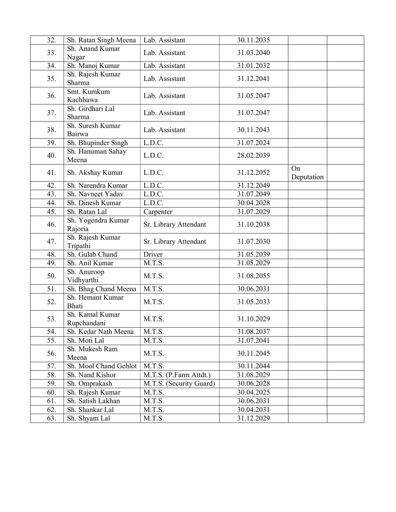| 32. | Sh. Ratan Singh Meena          | Lab. Assistant          | 30.11.2035 |                  |  |
|-----|--------------------------------|-------------------------|------------|------------------|--|
| 33. | Sh. Anand Kumar<br>Nagar       | Lab. Assistant          | 31.03.2040 |                  |  |
| 34. | Sh. Manoj Kumar                | Lab. Assistant          | 31.01.2032 |                  |  |
| 35. | Sh. Rajesh Kumar<br>Sharma     | Lab. Assistant          | 31.12.2041 |                  |  |
| 36. | Smt. Kumkum<br>Kachhawa        | Lab. Assistant          | 31.05.2047 |                  |  |
| 37. | Sh. Girdhari Lal<br>Sharma     | Lab. Assistant          | 31.07.2047 |                  |  |
| 38. | Sh. Suresh Kumar<br>Bairwa     | Lab. Assistant          | 30.11.2043 |                  |  |
| 39. | Sh. Bhupinder Singh            | L.D.C.                  | 31.07.2024 |                  |  |
| 40. | Sh. Hanuman Sahay<br>Meena     | L.D.C.                  | 28.02.2039 |                  |  |
| 41. | Sh. Akshay Kumar               | L.D.C.                  | 31.12.2052 | On<br>Deputation |  |
| 42. | Sh. Narendra Kumar             | L.D.C.                  | 31.12.2049 |                  |  |
| 43. | Sh. Navneet Yadav              | L.D.C.                  | 31.07.2049 |                  |  |
| 44. | Sh. Dinesh Kumar               | L.D.C.                  | 30.04.2028 |                  |  |
| 45. | Sh. Ratan Lal                  | Carpenter               | 31.07.2029 |                  |  |
| 46. | Sh. Yogendra Kumar<br>Rajoria  | Sr. Library Attendant   | 31.10.2038 |                  |  |
| 47. | Sh. Rajesh Kumar<br>Tripathi   | Sr. Library Attendant   | 31.07.2030 |                  |  |
| 48. | Sh. Gulab Chand                | Driver                  | 31.05.2039 |                  |  |
| 49. | Sh. Anil Kumar                 | M.T.S.                  | 31.05.2029 |                  |  |
| 50. | Sh. Anuroop<br>Vidhyarthi      | M.T.S.                  | 31.08.2055 |                  |  |
| 51. | Sh. Bhag Chand Meena           | M.T.S.                  | 30.06.2031 |                  |  |
| 52. | Sh. Hemant Kumar<br>Bhati      | M.T.S.                  | 31.05.2033 |                  |  |
| 53. | Sh. Kamal Kumar<br>Rupchandani | M.T.S.                  | 31.10.2029 |                  |  |
| 54. | Sh. Kedar Nath Meena           | M.T.S.                  | 31.08.2037 |                  |  |
| 55. | Sh. Moti Lal                   | M.T.S.                  | 31.07.2041 |                  |  |
| 56. | Sh. Mukesh Ram<br>Meena        | M.T.S.                  | 30.11.2045 |                  |  |
| 57. | Sh. Mool Chand Gehlot          | M.T.S.                  | 30.11.2044 |                  |  |
| 58. | Sh. Nand Kishor                | M.T.S. (P.Farm Attdt.)  | 31.08.2029 |                  |  |
| 59. | Sh. Omprakash                  | M.T.S. (Security Guard) | 30.06.2028 |                  |  |
| 60. | Sh. Rajesh Kumar               | M.T.S.                  | 30.04.2025 |                  |  |
| 61. | Sh. Satish Lakhan              | M.T.S.                  | 30.06.2031 |                  |  |
| 62. | Sh. Shankar Lal                | M.T.S.                  | 30.04.2031 |                  |  |
| 63. | Sh. Shyam Lal                  | M.T.S.                  | 31.12.2029 |                  |  |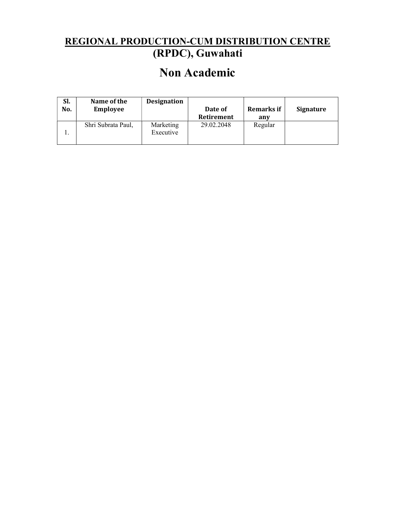### REGIONAL PRODUCTION-CUM DISTRIBUTION CENTRE (RPDC), Guwahati

| Sl.<br>No. | Name of the<br><b>Employee</b> | <b>Designation</b>     | Date of<br><b>Retirement</b> | Remarks if<br>anv | <b>Signature</b> |
|------------|--------------------------------|------------------------|------------------------------|-------------------|------------------|
|            | Shri Subrata Paul,             | Marketing<br>Executive | 29.02.2048                   | Regular           |                  |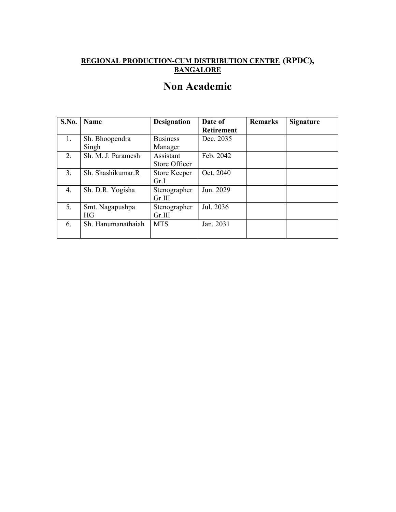#### REGIONAL PRODUCTION-CUM DISTRIBUTION CENTRE (RPDC), BANGALORE

| S.No. | <b>Name</b>        | <b>Designation</b>  | Date of           | <b>Remarks</b> | <b>Signature</b> |
|-------|--------------------|---------------------|-------------------|----------------|------------------|
|       |                    |                     | <b>Retirement</b> |                |                  |
| 1.    | Sh. Bhoopendra     | <b>Business</b>     | Dec. 2035         |                |                  |
|       | Singh              | Manager             |                   |                |                  |
| 2.    | Sh. M. J. Paramesh | Assistant           | Feb. 2042         |                |                  |
|       |                    | Store Officer       |                   |                |                  |
| 3.    | Sh. Shashikumar.R  | <b>Store Keeper</b> | Oct. 2040         |                |                  |
|       |                    | Gr.I                |                   |                |                  |
| 4.    | Sh. D.R. Yogisha   | Stenographer        | Jun. 2029         |                |                  |
|       |                    | Gr.III              |                   |                |                  |
| 5.    | Smt. Nagapushpa    | Stenographer        | Jul. 2036         |                |                  |
|       | HG                 | Gr.III              |                   |                |                  |
| 6.    | Sh. Hanumanathaiah | <b>MTS</b>          | Jan. 2031         |                |                  |
|       |                    |                     |                   |                |                  |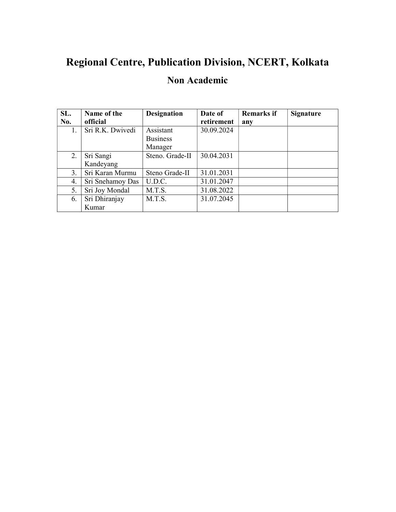## Regional Centre, Publication Division, NCERT, Kolkata

| SL. | Name of the      | <b>Designation</b> | Date of    | <b>Remarks if</b> | <b>Signature</b> |
|-----|------------------|--------------------|------------|-------------------|------------------|
| No. | official         |                    | retirement | any               |                  |
| 1.  | Sri R.K. Dwivedi | Assistant          | 30.09.2024 |                   |                  |
|     |                  | <b>Business</b>    |            |                   |                  |
|     |                  | Manager            |            |                   |                  |
| 2.  | Sri Sangi        | Steno. Grade-II    | 30.04.2031 |                   |                  |
|     | Kandeyang        |                    |            |                   |                  |
| 3.  | Sri Karan Murmu  | Steno Grade-II     | 31.01.2031 |                   |                  |
| 4.  | Sri Snehamoy Das | U.D.C.             | 31.01.2047 |                   |                  |
| 5.  | Sri Joy Mondal   | M.T.S.             | 31.08.2022 |                   |                  |
| 6.  | Sri Dhiranjay    | M.T.S.             | 31.07.2045 |                   |                  |
|     | Kumar            |                    |            |                   |                  |